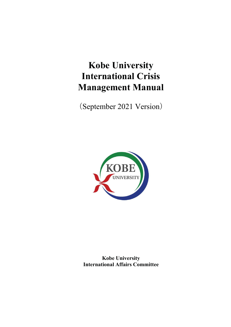# **Kobe University International Crisis Management Manual**

(September 2021 Version)



**Kobe University International Affairs Committee**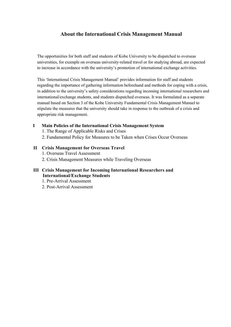# **About the International Crisis Management Manual**

The opportunities for both staff and students of Kobe University to be dispatched to overseas universities, for example on overseas university-related travel or for studying abroad, are expected to increase in accordance with the university's promotion of international exchange activities.

This 'International Crisis Management Manual' provides information for staff and students regarding the importance of gathering information beforehand and methods for coping with a crisis, in addition to the university's safety considerations regarding incoming international researchers and international/exchange students, and students dispatched overseas. It was formulated as a separate manual based on Section 3 of the Kobe University Fundamental Crisis Management Manuel to stipulate the measures that the university should take in response to the outbreak of a crisis and appropriate risk management.

# **I Main Policies of the International Crisis Management System**

1. The Range of Applicable Risks and Crises

2. Fundamental Policy for Measures to be Taken when Crises Occur Overseas

**II Crisis Management for Overseas Travel**  1. Overseas Travel Assessment 2. Crisis Management Measures while Traveling Overseas

# **III Crisis Management for Incoming International Researchers and International/Exchange Students**

- 1. Pre-Arrival Assessment
- 2. Post-Arrival Assessment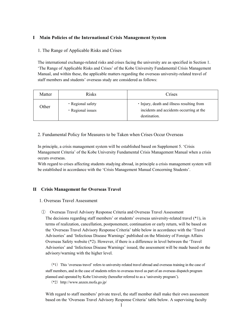#### **Ⅰ Main Policies of the International Crisis Management System**

#### 1. The Range of Applicable Risks and Crises

The international exchange-related risks and crises facing the university are as specified in Section 1. 'The Range of Applicable Risks and Crises' of the Kobe University Fundamental Crisis Management Manual, and within these, the applicable matters regarding the overseas university-related travel of staff members and students' overseas study are considered as follows:

| Matter | <b>Risks</b>                           | Crises                                                                                                 |  |
|--------|----------------------------------------|--------------------------------------------------------------------------------------------------------|--|
| Other  | • Regional safety<br>· Regional issues | • Injury, death and illness resulting from<br>incidents and accidents occurring at the<br>destination. |  |

#### 2. Fundamental Policy for Measures to be Taken when Crises Occur Overseas

In principle, a crisis management system will be established based on Supplement 5. 'Crisis Management Criteria' of the Kobe University Fundamental Crisis Management Manual when a crisis occurs overseas.

With regard to crises affecting students studying abroad, in principle a crisis management system will be established in accordance with the 'Crisis Management Manual Concerning Students'.

#### **Ⅱ Crisis Management for Overseas Travel**

#### 1. Overseas Travel Assessment

① Overseas Travel Advisory Response Criteria and Overseas Travel Assessment The decisions regarding staff members' or students' overseas university-related travel (\*1), in terms of realization, cancellation, postponement, continuation or early return, will be based on the 'Overseas Travel Advisory Response Criteria' table below in accordance with the 'Travel Advisories' and 'Infectious Disease Warnings' published on the Ministry of Foreign Affairs Overseas Safety website (\*2). However, if there is a difference in level between the 'Travel Advisories' and 'Infectious Disease Warnings' issued, the assessment will be made based on the advisory/warning with the higher level.

(\*1) This 'overseas travel' refers to university-related travel abroad and overseas training in the case of staff members, and in the case of students refers to overseas travel as part of an overseas dispatch program planned and operated by Kobe University (hereafter referred to as a 'university program').

(\*2) http://www.anzen.mofa.go.jp/

With regard to staff members' private travel, the staff member shall make their own assessment based on the 'Overseas Travel Advisory Response Criteria' table below. A supervising faculty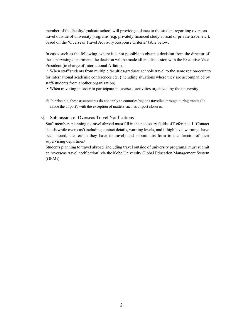member of the faculty/graduate school will provide guidance to the student regarding overseas travel outside of university programs (e.g, privately financed study abroad or private travel etc.), based on the 'Overseas Travel Advisory Response Criteria' table below.

In cases such as the following, where it is not possible to obtain a decision from the director of the supervising department, the decision will be made after a discussion with the Executive Vice President (in charge of International Affairs).

・When staff/students from multiple faculties/graduate schools travel to the same region/country for international academic conferences etc. (including situations where they are accompanied by staff/students from another organization)

・When traveling in order to participate in overseas activities organized by the university.

※ In principle, these assessments do not apply to countries/regions travelled through during transit (i.e. inside the airport), with the exception of matters such as airport closures.

# ② Submission of Overseas Travel Notifications

Staff members planning to travel abroad must fill in the necessary fields of Reference 1 'Contact details while overseas'(including contact details, warning levels, and if high level warnings have been issued, the reason they have to travel) and submit this form to the director of their supervising department.

Students planning to travel abroad (including travel outside of university programs) must submit an 'overseas travel notification' via the Kobe University Global Education Management System (GEMs).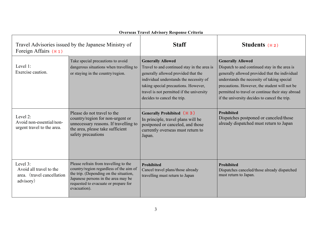| <b>Overseas Travel Advisory Response Criteria</b>                               |                                                                                                                                                                                                                           |                                                                                                                                                                                                                                                                               |                                                                                                                                                                                                                                                                                                                                   |  |  |  |
|---------------------------------------------------------------------------------|---------------------------------------------------------------------------------------------------------------------------------------------------------------------------------------------------------------------------|-------------------------------------------------------------------------------------------------------------------------------------------------------------------------------------------------------------------------------------------------------------------------------|-----------------------------------------------------------------------------------------------------------------------------------------------------------------------------------------------------------------------------------------------------------------------------------------------------------------------------------|--|--|--|
| Travel Advisories issued by the Japanese Ministry of<br>Foreign Affairs $(* 1)$ |                                                                                                                                                                                                                           | <b>Staff</b>                                                                                                                                                                                                                                                                  | Students $(* 2)$                                                                                                                                                                                                                                                                                                                  |  |  |  |
| Level 1:<br>Exercise caution.                                                   | Take special precautions to avoid<br>dangerous situations when travelling to<br>or staying in the country/region.                                                                                                         | <b>Generally Allowed</b><br>Travel to and continued stay in the area is<br>generally allowed provided that the<br>individual understands the necessity of<br>taking special precautions. However,<br>travel is not permitted if the university<br>decides to cancel the trip. | <b>Generally Allowed</b><br>Dispatch to and continued stay in the area is<br>generally allowed provided that the individual<br>understands the necessity of taking special<br>precautions. However, the student will not be<br>permitted to travel or continue their stay abroad<br>if the university decides to cancel the trip. |  |  |  |
| Level 2:<br>Avoid non-essential/non-<br>urgent travel to the area.              | Please do not travel to the<br>country/region for non-urgent or<br>unnecessary reasons. If travelling to<br>the area, please take sufficient<br>safety precautions                                                        | Generally Prohibited ( $\frac{1}{2}$ 3)<br>In principle, travel plans will be<br>postponed or canceled, and those<br>currently overseas must return to<br>Japan.                                                                                                              | <b>Prohibited</b><br>Dispatches postponed or canceled/those<br>already dispatched must return to Japan                                                                                                                                                                                                                            |  |  |  |
| Level 3:<br>Avoid all travel to the<br>area. (travel cancellation<br>advisory)  | Please refrain from travelling to the<br>country/region regardless of the aim of<br>the trip. (Depending on the situation,<br>Japanese persons in the area may be<br>requested to evacuate or prepare for<br>evacuation). | <b>Prohibited</b><br>Cancel travel plans/those already<br>travelling must return to Japan                                                                                                                                                                                     | <b>Prohibited</b><br>Dispatches canceled/those already dispatched<br>must return to Japan.                                                                                                                                                                                                                                        |  |  |  |

#### **Overseas Travel Advisory Response Criteria**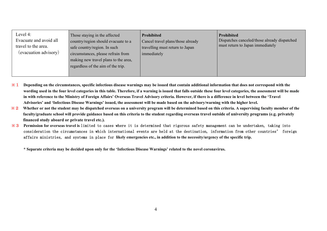| Level 4:<br>Evacuate and avoid all<br>travel to the area.<br>(evacuation advisory) | Those staying in the affected<br>country/region should evacuate to a<br>safe country/region. In such<br>circumstances, please refrain from<br>making new travel plans to the area,<br>regardless of the aim of the trip. | Prohibited<br>Cancel travel plans/those already<br>travelling must return to Japan<br>immediately | <b>Prohibited</b><br>Dispatches canceled/those already dispatched<br>must return to Japan immediately |
|------------------------------------------------------------------------------------|--------------------------------------------------------------------------------------------------------------------------------------------------------------------------------------------------------------------------|---------------------------------------------------------------------------------------------------|-------------------------------------------------------------------------------------------------------|
|------------------------------------------------------------------------------------|--------------------------------------------------------------------------------------------------------------------------------------------------------------------------------------------------------------------------|---------------------------------------------------------------------------------------------------|-------------------------------------------------------------------------------------------------------|

- **※**1 **Depending on the circumstances, specific infectious disease warnings may be issued that contain additional information that does not correspond with the wording used in the four level categories in this table. Therefore, if a warning is issued that falls outside these four level categories, the assessment will be made in with reference to the Ministry of Foreign Affairs' Overseas Travel Advisory criteria. However, if there is a difference in level between the 'Travel Advisories' and 'Infectious Disease Warnings' issued, the assessment will be made based on the advisory/warning with the higher level.**
- **※**2 **Whether or not the student may be dispatched overseas on a university program will be determined based on this criteria. A supervising faculty member of the faculty/graduate school will provide guidance based on this criteria to the student regarding overseas travel outside of university programs (e.g. privately financed study aboard or private travel etc.).**
- **※**3 **Permission for overseas travel is** limited to cases where it is determined that rigorous safety management can be undertaken, taking into consideration the circumstances in which international events are held at the destination, information from other countries' foreign affairs ministries, and systems in place for **likely emergencies etc., in addition to the necessity/urgency of the specific trip.**

**\* Separate criteria may be decided upon only for the 'Infectious Disease Warnings' related to the novel coronavirus.**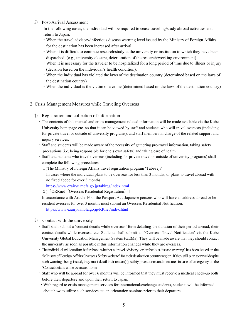#### ③ Post-Arrival Assessment

In the following cases, the individual will be required to cease traveling/study abroad activities and return to Japan:

- ・When the travel advisory/infectious disease warning level issued by the Ministry of Foreign Affairs for the destination has been increased after arrival.
- ・When it is difficult to continue research/study at the university or institution to which they have been dispatched. (e.g., university closure, deterioration of the research/working environment)
- ・When it is necessary for the traveler to be hospitalized for a long period of time due to illness or injury (decision based on the individual's health condition).
- ・When the individual has violated the laws of the destination country (determined based on the laws of the destination country)
- ・When the individual is the victim of a crime (determined based on the laws of the destination country)

#### 2. Crisis Management Measures while Traveling Overseas

# ① Registration and collection of information

- ・The contents of this manual and crisis management-related information will be made available via the Kobe University homepage etc. so that it can be viewed by staff and students who will travel overseas (including for private travel or outside of university programs), and staff members in charge of the related support and inquiry services.
- ・Staff and students will be made aware of the necessity of gathering pre-travel information, taking safety precautions (i.e. being responsible for one's own safety) and taking care of health.
- ・Staff and students who travel overseas (including for private travel or outside of university programs) shall complete the following procedures:
	- 1)The Ministry of Foreign Affairs travel registration program 'Tabi-reji'

In cases where the individual plans to be overseas for less than 3 months, or plans to travel abroad with no fixed abode for over 3 months.

https://www.ezairyu.mofa.go.jp/tabireg/index.html

2)「ORRnet(Overseas Residential Registration)」

In accordance with Article 16 of the Passport Act, Japanese persons who will have an address abroad or be resident overseas for over 3 months must submit an Overseas Residential Notification.

https://www.ezairyu.mofa.go.jp/RRnet/index.html

#### ② Contact with the university

- ・Staff shall submit a 'contact details while overseas' form detailing the duration of their period abroad, their contact details while overseas etc. Students shall submit an 'Overseas Travel Notification' via the Kobe University Global Education Management System (GEMs). They will be made aware that they should contact the university as soon as possible if this information changes while they are overseas.
- ・The individual will confirm beforehand whether a 'travel advisory' or 'infectious disease warning' has been issued on the 'Ministry of Foreign Affairs Overseas Safety website' for their destination country/region. If they still plan to travel despite such warnings being issued, they must detail their reason(s), safety precautions and measures in case of emergency on the 'Contact details while overseas' form.
- ・Staff who will be abroad for over 6 months will be informed that they must receive a medical check-up both before their departure and upon their return to Japan.
- ・With regard to crisis management services for international/exchange students, students will be informed about how to utilize such services etc. in orientation sessions prior to their departure.